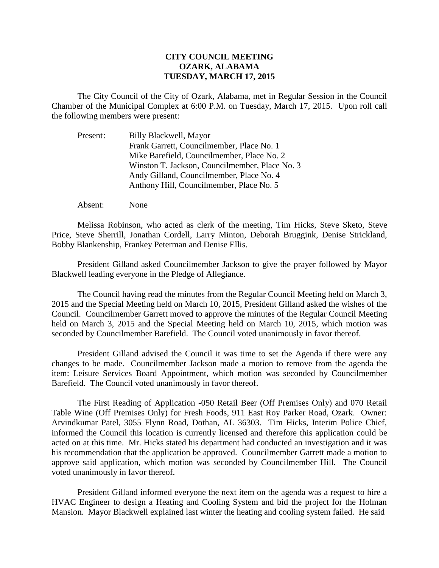## **CITY COUNCIL MEETING OZARK, ALABAMA TUESDAY, MARCH 17, 2015**

The City Council of the City of Ozark, Alabama, met in Regular Session in the Council Chamber of the Municipal Complex at 6:00 P.M. on Tuesday, March 17, 2015. Upon roll call the following members were present:

| Present: | Billy Blackwell, Mayor                         |
|----------|------------------------------------------------|
|          | Frank Garrett, Councilmember, Place No. 1      |
|          | Mike Barefield, Councilmember, Place No. 2     |
|          | Winston T. Jackson, Councilmember, Place No. 3 |
|          | Andy Gilland, Councilmember, Place No. 4       |
|          | Anthony Hill, Councilmember, Place No. 5       |

Absent: None

Melissa Robinson, who acted as clerk of the meeting, Tim Hicks, Steve Sketo, Steve Price, Steve Sherrill, Jonathan Cordell, Larry Minton, Deborah Bruggink, Denise Strickland, Bobby Blankenship, Frankey Peterman and Denise Ellis.

President Gilland asked Councilmember Jackson to give the prayer followed by Mayor Blackwell leading everyone in the Pledge of Allegiance.

The Council having read the minutes from the Regular Council Meeting held on March 3, 2015 and the Special Meeting held on March 10, 2015, President Gilland asked the wishes of the Council. Councilmember Garrett moved to approve the minutes of the Regular Council Meeting held on March 3, 2015 and the Special Meeting held on March 10, 2015, which motion was seconded by Councilmember Barefield. The Council voted unanimously in favor thereof.

President Gilland advised the Council it was time to set the Agenda if there were any changes to be made. Councilmember Jackson made a motion to remove from the agenda the item: Leisure Services Board Appointment, which motion was seconded by Councilmember Barefield. The Council voted unanimously in favor thereof.

The First Reading of Application -050 Retail Beer (Off Premises Only) and 070 Retail Table Wine (Off Premises Only) for Fresh Foods, 911 East Roy Parker Road, Ozark. Owner: Arvindkumar Patel, 3055 Flynn Road, Dothan, AL 36303. Tim Hicks, Interim Police Chief, informed the Council this location is currently licensed and therefore this application could be acted on at this time. Mr. Hicks stated his department had conducted an investigation and it was his recommendation that the application be approved. Councilmember Garrett made a motion to approve said application, which motion was seconded by Councilmember Hill. The Council voted unanimously in favor thereof.

President Gilland informed everyone the next item on the agenda was a request to hire a HVAC Engineer to design a Heating and Cooling System and bid the project for the Holman Mansion. Mayor Blackwell explained last winter the heating and cooling system failed. He said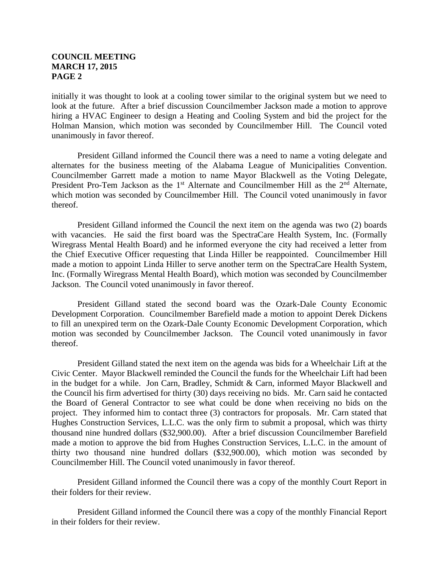## **COUNCIL MEETING MARCH 17, 2015 PAGE 2**

initially it was thought to look at a cooling tower similar to the original system but we need to look at the future. After a brief discussion Councilmember Jackson made a motion to approve hiring a HVAC Engineer to design a Heating and Cooling System and bid the project for the Holman Mansion, which motion was seconded by Councilmember Hill. The Council voted unanimously in favor thereof.

 President Gilland informed the Council there was a need to name a voting delegate and alternates for the business meeting of the Alabama League of Municipalities Convention. Councilmember Garrett made a motion to name Mayor Blackwell as the Voting Delegate, President Pro-Tem Jackson as the  $1<sup>st</sup>$  Alternate and Councilmember Hill as the  $2<sup>nd</sup>$  Alternate, which motion was seconded by Councilmember Hill. The Council voted unanimously in favor thereof.

President Gilland informed the Council the next item on the agenda was two (2) boards with vacancies. He said the first board was the SpectraCare Health System, Inc. (Formally Wiregrass Mental Health Board) and he informed everyone the city had received a letter from the Chief Executive Officer requesting that Linda Hiller be reappointed. Councilmember Hill made a motion to appoint Linda Hiller to serve another term on the SpectraCare Health System, Inc. (Formally Wiregrass Mental Health Board), which motion was seconded by Councilmember Jackson. The Council voted unanimously in favor thereof.

President Gilland stated the second board was the Ozark-Dale County Economic Development Corporation. Councilmember Barefield made a motion to appoint Derek Dickens to fill an unexpired term on the Ozark-Dale County Economic Development Corporation, which motion was seconded by Councilmember Jackson. The Council voted unanimously in favor thereof.

President Gilland stated the next item on the agenda was bids for a Wheelchair Lift at the Civic Center. Mayor Blackwell reminded the Council the funds for the Wheelchair Lift had been in the budget for a while. Jon Carn, Bradley, Schmidt & Carn, informed Mayor Blackwell and the Council his firm advertised for thirty (30) days receiving no bids. Mr. Carn said he contacted the Board of General Contractor to see what could be done when receiving no bids on the project. They informed him to contact three (3) contractors for proposals. Mr. Carn stated that Hughes Construction Services, L.L.C. was the only firm to submit a proposal, which was thirty thousand nine hundred dollars (\$32,900.00). After a brief discussion Councilmember Barefield made a motion to approve the bid from Hughes Construction Services, L.L.C. in the amount of thirty two thousand nine hundred dollars (\$32,900.00), which motion was seconded by Councilmember Hill. The Council voted unanimously in favor thereof.

President Gilland informed the Council there was a copy of the monthly Court Report in their folders for their review.

President Gilland informed the Council there was a copy of the monthly Financial Report in their folders for their review.